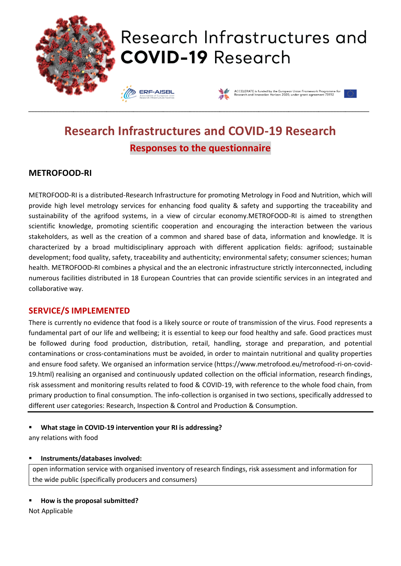

# **Research Infrastructures and COVID-19 Research Responses to the questionnaire**

### **METROFOOD-RI**

METROFOOD-RI is a distributed-Research Infrastructure for promoting Metrology in Food and Nutrition, which will provide high level metrology services for enhancing food quality & safety and supporting the traceability and sustainability of the agrifood systems, in a view of circular economy.METROFOOD-RI is aimed to strengthen scientific knowledge, promoting scientific cooperation and encouraging the interaction between the various stakeholders, as well as the creation of a common and shared base of data, information and knowledge. It is characterized by a broad multidisciplinary approach with different application fields: agrifood; sustainable development; food quality, safety, traceability and authenticity; environmental safety; consumer sciences; human health. METROFOOD-RI combines a physical and the an electronic infrastructure strictly interconnected, including numerous facilities distributed in 18 European Countries that can provide scientific services in an integrated and collaborative way.

#### **SERVICE/S IMPLEMENTED**

There is currently no evidence that food is a likely source or route of transmission of the virus. Food represents a fundamental part of our life and wellbeing; it is essential to keep our food healthy and safe. Good practices must be followed during food production, distribution, retail, handling, storage and preparation, and potential contaminations or cross-contaminations must be avoided, in order to maintain nutritional and quality properties and ensure food safety. We organised an information service (https://www.metrofood.eu/metrofood-ri-on-covid-19.html) realising an organised and continuously updated collection on the official information, research findings, risk assessment and monitoring results related to food & COVID-19, with reference to the whole food chain, from primary production to final consumption. The info-collection is organised in two sections, specifically addressed to different user categories: Research, Inspection & Control and Production & Consumption.

#### ▪ **What stage in COVID-19 intervention your RI is addressing?**

any relations with food

#### ▪ **Instruments/databases involved:**

open information service with organised inventory of research findings, risk assessment and information for the wide public (specifically producers and consumers)

▪ **How is the proposal submitted?**

Not Applicable